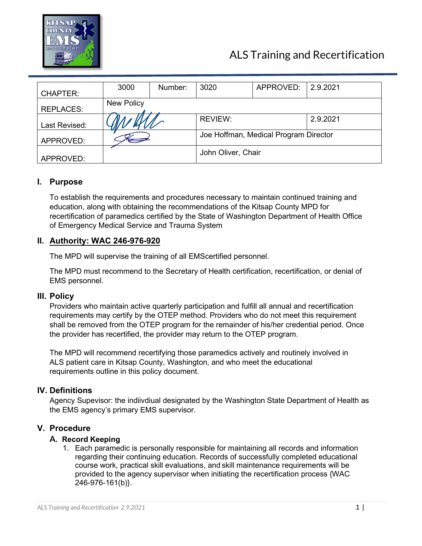

# ALS Training and Recertification

| <b>CHAPTER:</b>  | 3000                                  | Number: | 3020               | APPROVED: | 2.9.2021 |
|------------------|---------------------------------------|---------|--------------------|-----------|----------|
| <b>REPLACES:</b> | <b>New Policy</b>                     |         |                    |           |          |
| Last Revised:    |                                       |         | REVIEW:            |           | 2.9.2021 |
| APPROVED:        | Joe Hoffman, Medical Program Director |         |                    |           |          |
| APPROVED:        |                                       |         | John Oliver, Chair |           |          |

# **I. Purpose**

To establish the requirements and procedures necessary to maintain continued training and education, along with obtaining the recommendations of the Kitsap County MPD for recertification of paramedics certified by the State of Washington Department of Health Office of Emergency Medical Service and Trauma System

# **II. Authority: WAC 246-976-920**

The MPD will supervise the training of all EMScertified personnel.

The MPD must recommend to the Secretary of Health certification, recertification, or denial of EMS personnel.

# **III. Policy**

Providers who maintain active quarterly participation and fulfill all annual and recertification requirements may certify by the OTEP method. Providers who do not meet this requirement shall be removed from the OTEP program for the remainder of his/her credential period. Once the provider has recertified, the provider may return to the OTEP program.

The MPD will recommend recertifying those paramedics actively and routinely involved in ALS patient care in Kitsap County, Washington, and who meet the educational requirements outline in this policy document.

# **IV. Definitions**

Agency Supevisor: the indiivdiual designated by the Washington State Department of Health as the EMS agency's primary EMS supervisor.

# **V. Procedure**

# **A. Record Keeping**

1. Each paramedic is personally responsible for maintaining all records and information regarding their continuing education. Records of successfully completed educational course work, practical skill evaluations, and skill maintenance requirements will be provided to the agency supervisor when initiating the recertification process {WAC 246-976-161(b)}.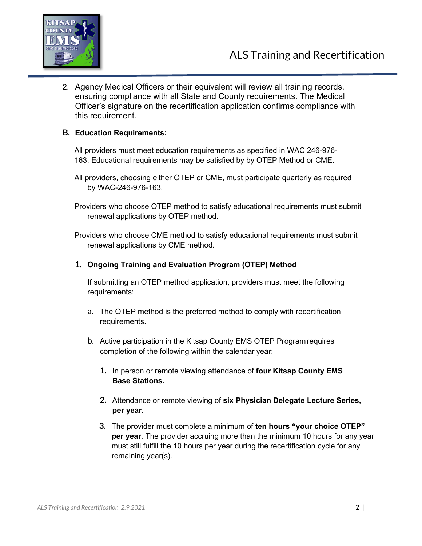

2. Agency Medical Officers or their equivalent will review all training records, ensuring compliance with all State and County requirements. The Medical Officer's signature on the recertification application confirms compliance with this requirement.

# **B. Education Requirements:**

All providers must meet education requirements as specified in WAC 246-976- 163. Educational requirements may be satisfied by by OTEP Method or CME.

All providers, choosing either OTEP or CME, must participate quarterly as required by WAC-246-976-163.

Providers who choose OTEP method to satisfy educational requirements must submit renewal applications by OTEP method.

Providers who choose CME method to satisfy educational requirements must submit renewal applications by CME method.

# 1. **Ongoing Training and Evaluation Program (OTEP) Method**

If submitting an OTEP method application, providers must meet the following requirements:

- a. The OTEP method is the preferred method to comply with recertification requirements.
- b. Active participation in the Kitsap County EMS OTEP Programrequires completion of the following within the calendar year:
	- **1.** In person or remote viewing attendance of **four Kitsap County EMS Base Stations.**
	- **2.** Attendance or remote viewing of **six Physician Delegate Lecture Series, per year.**
	- **3.** The provider must complete a minimum of **ten hours "your choice OTEP" per year**. The provider accruing more than the minimum 10 hours for any year must still fulfill the 10 hours per year during the recertification cycle for any remaining year(s).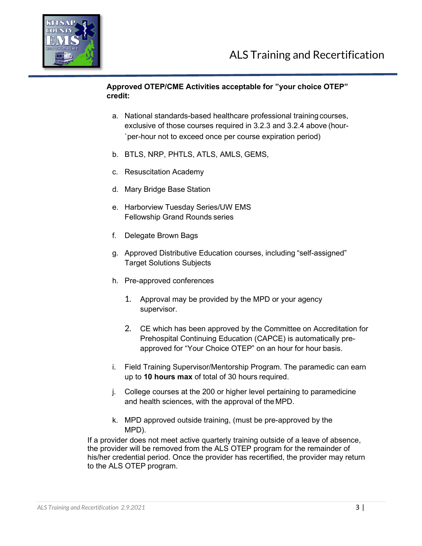

# **Approved OTEP/CME Activities acceptable for "your choice OTEP" credit:**

- a. National standards-based healthcare professional training courses, exclusive of those courses required in 3.2.3 and 3.2.4 above (hour- `per-hour not to exceed once per course expiration period)
- b. BTLS, NRP, PHTLS, ATLS, AMLS, GEMS,
- c. Resuscitation Academy
- d. Mary Bridge Base Station
- e. Harborview Tuesday Series/UW EMS Fellowship Grand Rounds series
- f. Delegate Brown Bags
- g. Approved Distributive Education courses, including "self-assigned" Target Solutions Subjects
- h. Pre-approved conferences
	- 1. Approval may be provided by the MPD or your agency supervisor.
	- 2. CE which has been approved by the Committee on Accreditation for Prehospital Continuing Education (CAPCE) is automatically preapproved for "Your Choice OTEP" on an hour for hour basis.
- i. Field Training Supervisor/Mentorship Program. The paramedic can earn up to **10 hours max** of total of 30 hours required.
- j. College courses at the 200 or higher level pertaining to paramedicine and health sciences, with the approval of the MPD.
- k. MPD approved outside training, (must be pre-approved by the MPD).

If a provider does not meet active quarterly training outside of a leave of absence, the provider will be removed from the ALS OTEP program for the remainder of his/her credential period. Once the provider has recertified, the provider may return to the ALS OTEP program.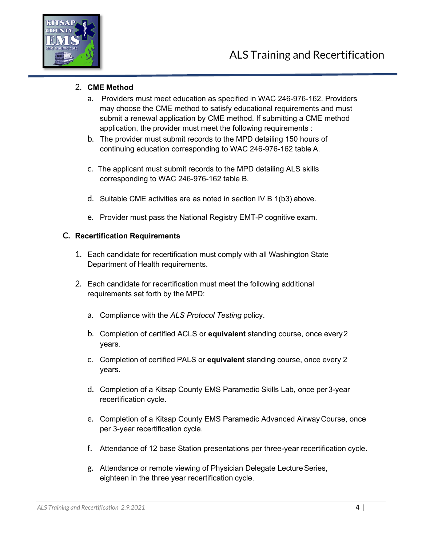

# 2. **CME Method**

- a. Providers must meet education as specified in WAC 246-976-162. Providers may choose the CME method to satisfy educational requirements and must submit a renewal application by CME method. If submitting a CME method application, the provider must meet the following requirements :
- b. The provider must submit records to the MPD detailing 150 hours of continuing education corresponding to WAC 246-976-162 table A.
- c. The applicant must submit records to the MPD detailing ALS skills corresponding to WAC 246-976-162 table B.
- d. Suitable CME activities are as noted in section IV B 1(b3) above.
- e. Provider must pass the National Registry EMT-P cognitive exam.

#### **C. Recertification Requirements**

- 1. Each candidate for recertification must comply with all Washington State Department of Health requirements.
- 2. Each candidate for recertification must meet the following additional requirements set forth by the MPD:
	- a. Compliance with the *ALS Protocol Testing* policy.
	- b. Completion of certified ACLS or **equivalent** standing course, once every2 years.
	- c. Completion of certified PALS or **equivalent** standing course, once every 2 years.
	- d. Completion of a Kitsap County EMS Paramedic Skills Lab, once per3-year recertification cycle.
	- e. Completion of a Kitsap County EMS Paramedic Advanced Airway Course, once per 3-year recertification cycle.
	- f. Attendance of 12 base Station presentations per three-year recertification cycle.
	- g. Attendance or remote viewing of Physician Delegate Lecture Series, eighteen in the three year recertification cycle.